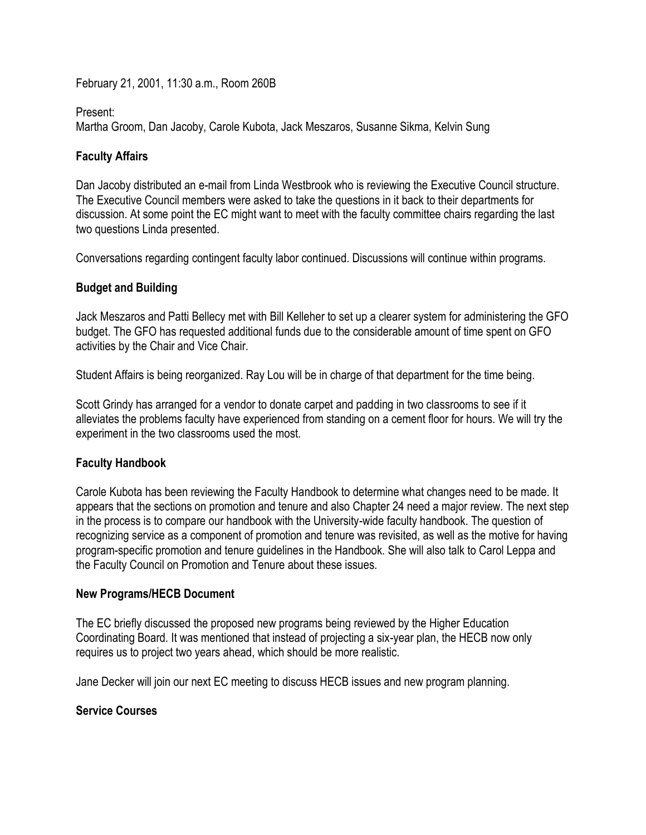February 21, 2001, 11:30 a.m., Room 260B

#### Present:

Martha Groom, Dan Jacoby, Carole Kubota, Jack Meszaros, Susanne Sikma, Kelvin Sung

## **Faculty Affairs**

Dan Jacoby distributed an e-mail from Linda Westbrook who is reviewing the Executive Council structure. The Executive Council members were asked to take the questions in it back to their departments for discussion. At some point the EC might want to meet with the faculty committee chairs regarding the last two questions Linda presented.

Conversations regarding contingent faculty labor continued. Discussions will continue within programs.

# **Budget and Building**

Jack Meszaros and Patti Bellecy met with Bill Kelleher to set up a clearer system for administering the GFO budget. The GFO has requested additional funds due to the considerable amount of time spent on GFO activities by the Chair and Vice Chair.

Student Affairs is being reorganized. Ray Lou will be in charge of that department for the time being.

Scott Grindy has arranged for a vendor to donate carpet and padding in two classrooms to see if it alleviates the problems faculty have experienced from standing on a cement floor for hours. We will try the experiment in the two classrooms used the most.

### **Faculty Handbook**

Carole Kubota has been reviewing the Faculty Handbook to determine what changes need to be made. It appears that the sections on promotion and tenure and also Chapter 24 need a major review. The next step in the process is to compare our handbook with the University-wide faculty handbook. The question of recognizing service as a component of promotion and tenure was revisited, as well as the motive for having program-specific promotion and tenure guidelines in the Handbook. She will also talk to Carol Leppa and the Faculty Council on Promotion and Tenure about these issues.

### **New Programs/HECB Document**

The EC briefly discussed the proposed new programs being reviewed by the Higher Education Coordinating Board. It was mentioned that instead of projecting a six-year plan, the HECB now only requires us to project two years ahead, which should be more realistic.

Jane Decker will join our next EC meeting to discuss HECB issues and new program planning.

### **Service Courses**